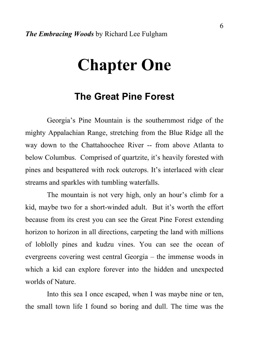# **Chapter One**

# **The Great Pine Forest**

Georgia's Pine Mountain is the southernmost ridge of the mighty Appalachian Range, stretching from the Blue Ridge all the way down to the Chattahoochee River -- from above Atlanta to below Columbus. Comprised of quartzite, it's heavily forested with pines and bespattered with rock outcrops. It's interlaced with clear streams and sparkles with tumbling waterfalls.

 The mountain is not very high, only an hour's climb for a kid, maybe two for a short-winded adult. But it's worth the effort because from its crest you can see the Great Pine Forest extending horizon to horizon in all directions, carpeting the land with millions of loblolly pines and kudzu vines. You can see the ocean of evergreens covering west central Georgia – the immense woods in which a kid can explore forever into the hidden and unexpected worlds of Nature.

 Into this sea I once escaped, when I was maybe nine or ten, the small town life I found so boring and dull. The time was the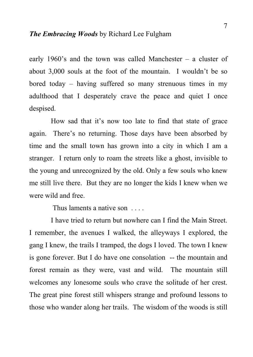early 1960's and the town was called Manchester – a cluster of about 3,000 souls at the foot of the mountain. I wouldn't be so bored today – having suffered so many strenuous times in my adulthood that I desperately crave the peace and quiet I once despised.

 How sad that it's now too late to find that state of grace again. There's no returning. Those days have been absorbed by time and the small town has grown into a city in which I am a stranger. I return only to roam the streets like a ghost, invisible to the young and unrecognized by the old. Only a few souls who knew me still live there. But they are no longer the kids I knew when we were wild and free.

Thus laments a native son

 I have tried to return but nowhere can I find the Main Street. I remember, the avenues I walked, the alleyways I explored, the gang I knew, the trails I tramped, the dogs I loved. The town I knew is gone forever. But I do have one consolation -- the mountain and forest remain as they were, vast and wild. The mountain still welcomes any lonesome souls who crave the solitude of her crest. The great pine forest still whispers strange and profound lessons to those who wander along her trails. The wisdom of the woods is still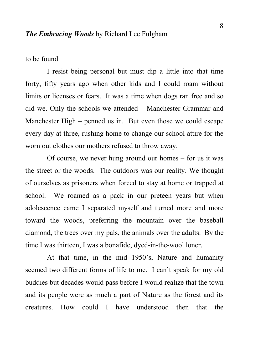to be found.

 I resist being personal but must dip a little into that time forty, fifty years ago when other kids and I could roam without limits or licenses or fears. It was a time when dogs ran free and so did we. Only the schools we attended – Manchester Grammar and Manchester High – penned us in. But even those we could escape every day at three, rushing home to change our school attire for the worn out clothes our mothers refused to throw away.

 Of course, we never hung around our homes – for us it was the street or the woods. The outdoors was our reality. We thought of ourselves as prisoners when forced to stay at home or trapped at school. We roamed as a pack in our preteen years but when adolescence came I separated myself and turned more and more toward the woods, preferring the mountain over the baseball diamond, the trees over my pals, the animals over the adults. By the time I was thirteen, I was a bonafide, dyed-in-the-wool loner.

 At that time, in the mid 1950's, Nature and humanity seemed two different forms of life to me. I can't speak for my old buddies but decades would pass before I would realize that the town and its people were as much a part of Nature as the forest and its creatures. How could I have understood then that the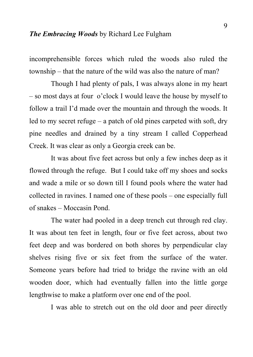incomprehensible forces which ruled the woods also ruled the township – that the nature of the wild was also the nature of man?

 Though I had plenty of pals, I was always alone in my heart – so most days at four o'clock I would leave the house by myself to follow a trail I'd made over the mountain and through the woods. It led to my secret refuge – a patch of old pines carpeted with soft, dry pine needles and drained by a tiny stream I called Copperhead Creek. It was clear as only a Georgia creek can be.

 It was about five feet across but only a few inches deep as it flowed through the refuge. But I could take off my shoes and socks and wade a mile or so down till I found pools where the water had collected in ravines. I named one of these pools – one especially full of snakes – Moccasin Pond.

 The water had pooled in a deep trench cut through red clay. It was about ten feet in length, four or five feet across, about two feet deep and was bordered on both shores by perpendicular clay shelves rising five or six feet from the surface of the water. Someone years before had tried to bridge the ravine with an old wooden door, which had eventually fallen into the little gorge lengthwise to make a platform over one end of the pool.

I was able to stretch out on the old door and peer directly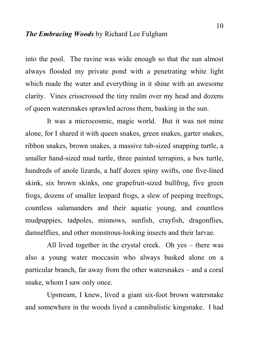into the pool. The ravine was wide enough so that the sun almost always flooded my private pond with a penetrating white light which made the water and everything in it shine with an awesome clarity. Vines crisscrossed the tiny realm over my head and dozens of queen watersnakes sprawled across them, basking in the sun.

 It was a microcosmic, magic world. But it was not mine alone, for I shared it with queen snakes, green snakes, garter snakes, ribbon snakes, brown snakes, a massive tub-sized snapping turtle, a smaller hand-sized mud turtle, three painted terrapins, a box turtle, hundreds of anole lizards, a half dozen spiny swifts, one five-lined skink, six brown skinks, one grapefruit-sized bullfrog, five green frogs, dozens of smaller leopard frogs, a slew of peeping treefrogs, countless salamanders and their aquatic young, and countless mudpuppies, tadpoles, minnows, sunfish, crayfish, dragonflies, damselflies, and other monstrous-looking insects and their larvae.

 All lived together in the crystal creek. Oh yes – there was also a young water moccasin who always basked alone on a particular branch, far away from the other watersnakes – and a coral snake, whom I saw only once.

 Upstream, I knew, lived a giant six-foot brown watersnake and somewhere in the woods lived a cannibalistic kingsnake. I had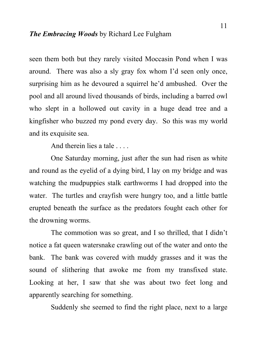seen them both but they rarely visited Moccasin Pond when I was around. There was also a sly gray fox whom I'd seen only once, surprising him as he devoured a squirrel he'd ambushed. Over the pool and all around lived thousands of birds, including a barred owl who slept in a hollowed out cavity in a huge dead tree and a kingfisher who buzzed my pond every day. So this was my world and its exquisite sea.

And therein lies a tale . . . .

 One Saturday morning, just after the sun had risen as white and round as the eyelid of a dying bird, I lay on my bridge and was watching the mudpuppies stalk earthworms I had dropped into the water. The turtles and crayfish were hungry too, and a little battle erupted beneath the surface as the predators fought each other for the drowning worms.

 The commotion was so great, and I so thrilled, that I didn't notice a fat queen watersnake crawling out of the water and onto the bank. The bank was covered with muddy grasses and it was the sound of slithering that awoke me from my transfixed state. Looking at her, I saw that she was about two feet long and apparently searching for something.

Suddenly she seemed to find the right place, next to a large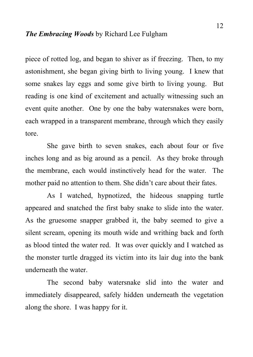piece of rotted log, and began to shiver as if freezing. Then, to my astonishment, she began giving birth to living young. I knew that some snakes lay eggs and some give birth to living young. But reading is one kind of excitement and actually witnessing such an event quite another. One by one the baby watersnakes were born, each wrapped in a transparent membrane, through which they easily tore.

 She gave birth to seven snakes, each about four or five inches long and as big around as a pencil. As they broke through the membrane, each would instinctively head for the water. The mother paid no attention to them. She didn't care about their fates.

 As I watched, hypnotized, the hideous snapping turtle appeared and snatched the first baby snake to slide into the water. As the gruesome snapper grabbed it, the baby seemed to give a silent scream, opening its mouth wide and writhing back and forth as blood tinted the water red. It was over quickly and I watched as the monster turtle dragged its victim into its lair dug into the bank underneath the water.

 The second baby watersnake slid into the water and immediately disappeared, safely hidden underneath the vegetation along the shore. I was happy for it.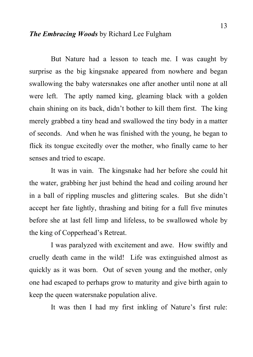But Nature had a lesson to teach me. I was caught by surprise as the big kingsnake appeared from nowhere and began swallowing the baby watersnakes one after another until none at all were left. The aptly named king, gleaming black with a golden chain shining on its back, didn't bother to kill them first. The king merely grabbed a tiny head and swallowed the tiny body in a matter of seconds. And when he was finished with the young, he began to flick its tongue excitedly over the mother, who finally came to her senses and tried to escape.

 It was in vain. The kingsnake had her before she could hit the water, grabbing her just behind the head and coiling around her in a ball of rippling muscles and glittering scales. But she didn't accept her fate lightly, thrashing and biting for a full five minutes before she at last fell limp and lifeless, to be swallowed whole by the king of Copperhead's Retreat.

 I was paralyzed with excitement and awe. How swiftly and cruelly death came in the wild! Life was extinguished almost as quickly as it was born. Out of seven young and the mother, only one had escaped to perhaps grow to maturity and give birth again to keep the queen watersnake population alive.

It was then I had my first inkling of Nature's first rule: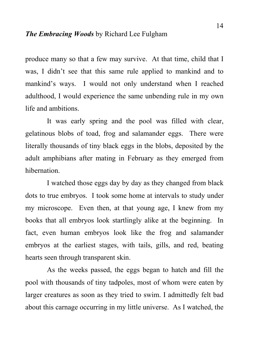produce many so that a few may survive. At that time, child that I was, I didn't see that this same rule applied to mankind and to mankind's ways. I would not only understand when I reached adulthood, I would experience the same unbending rule in my own life and ambitions.

 It was early spring and the pool was filled with clear, gelatinous blobs of toad, frog and salamander eggs. There were literally thousands of tiny black eggs in the blobs, deposited by the adult amphibians after mating in February as they emerged from hibernation.

 I watched those eggs day by day as they changed from black dots to true embryos. I took some home at intervals to study under my microscope. Even then, at that young age, I knew from my books that all embryos look startlingly alike at the beginning. In fact, even human embryos look like the frog and salamander embryos at the earliest stages, with tails, gills, and red, beating hearts seen through transparent skin.

 As the weeks passed, the eggs began to hatch and fill the pool with thousands of tiny tadpoles, most of whom were eaten by larger creatures as soon as they tried to swim. I admittedly felt bad about this carnage occurring in my little universe. As I watched, the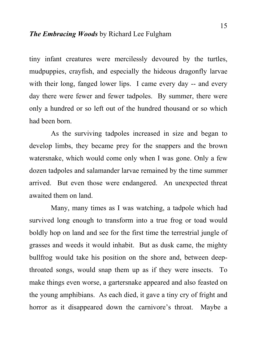tiny infant creatures were mercilessly devoured by the turtles, mudpuppies, crayfish, and especially the hideous dragonfly larvae with their long, fanged lower lips. I came every day -- and every day there were fewer and fewer tadpoles. By summer, there were only a hundred or so left out of the hundred thousand or so which had been born.

 As the surviving tadpoles increased in size and began to develop limbs, they became prey for the snappers and the brown watersnake, which would come only when I was gone. Only a few dozen tadpoles and salamander larvae remained by the time summer arrived. But even those were endangered. An unexpected threat awaited them on land.

 Many, many times as I was watching, a tadpole which had survived long enough to transform into a true frog or toad would boldly hop on land and see for the first time the terrestrial jungle of grasses and weeds it would inhabit. But as dusk came, the mighty bullfrog would take his position on the shore and, between deepthroated songs, would snap them up as if they were insects. To make things even worse, a gartersnake appeared and also feasted on the young amphibians. As each died, it gave a tiny cry of fright and horror as it disappeared down the carnivore's throat. Maybe a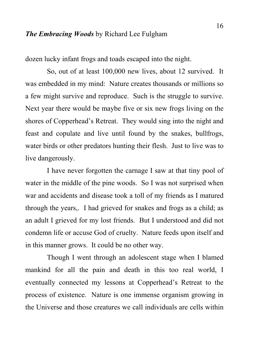dozen lucky infant frogs and toads escaped into the night.

 So, out of at least 100,000 new lives, about 12 survived. It was embedded in my mind: Nature creates thousands or millions so a few might survive and reproduce. Such is the struggle to survive. Next year there would be maybe five or six new frogs living on the shores of Copperhead's Retreat. They would sing into the night and feast and copulate and live until found by the snakes, bullfrogs, water birds or other predators hunting their flesh. Just to live was to live dangerously.

 I have never forgotten the carnage I saw at that tiny pool of water in the middle of the pine woods. So I was not surprised when war and accidents and disease took a toll of my friends as I matured through the years,. I had grieved for snakes and frogs as a child; as an adult I grieved for my lost friends. But I understood and did not condemn life or accuse God of cruelty. Nature feeds upon itself and in this manner grows. It could be no other way.

 Though I went through an adolescent stage when I blamed mankind for all the pain and death in this too real world, I eventually connected my lessons at Copperhead's Retreat to the process of existence. Nature is one immense organism growing in the Universe and those creatures we call individuals are cells within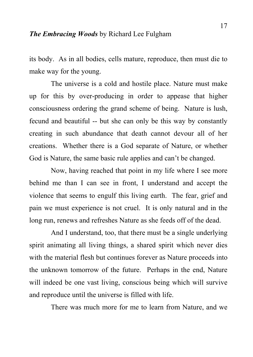its body. As in all bodies, cells mature, reproduce, then must die to make way for the young.

 The universe is a cold and hostile place. Nature must make up for this by over-producing in order to appease that higher consciousness ordering the grand scheme of being. Nature is lush, fecund and beautiful -- but she can only be this way by constantly creating in such abundance that death cannot devour all of her creations. Whether there is a God separate of Nature, or whether God is Nature, the same basic rule applies and can't be changed.

 Now, having reached that point in my life where I see more behind me than I can see in front, I understand and accept the violence that seems to engulf this living earth. The fear, grief and pain we must experience is not cruel. It is only natural and in the long run, renews and refreshes Nature as she feeds off of the dead.

 And I understand, too, that there must be a single underlying spirit animating all living things, a shared spirit which never dies with the material flesh but continues forever as Nature proceeds into the unknown tomorrow of the future. Perhaps in the end, Nature will indeed be one vast living, conscious being which will survive and reproduce until the universe is filled with life.

There was much more for me to learn from Nature, and we